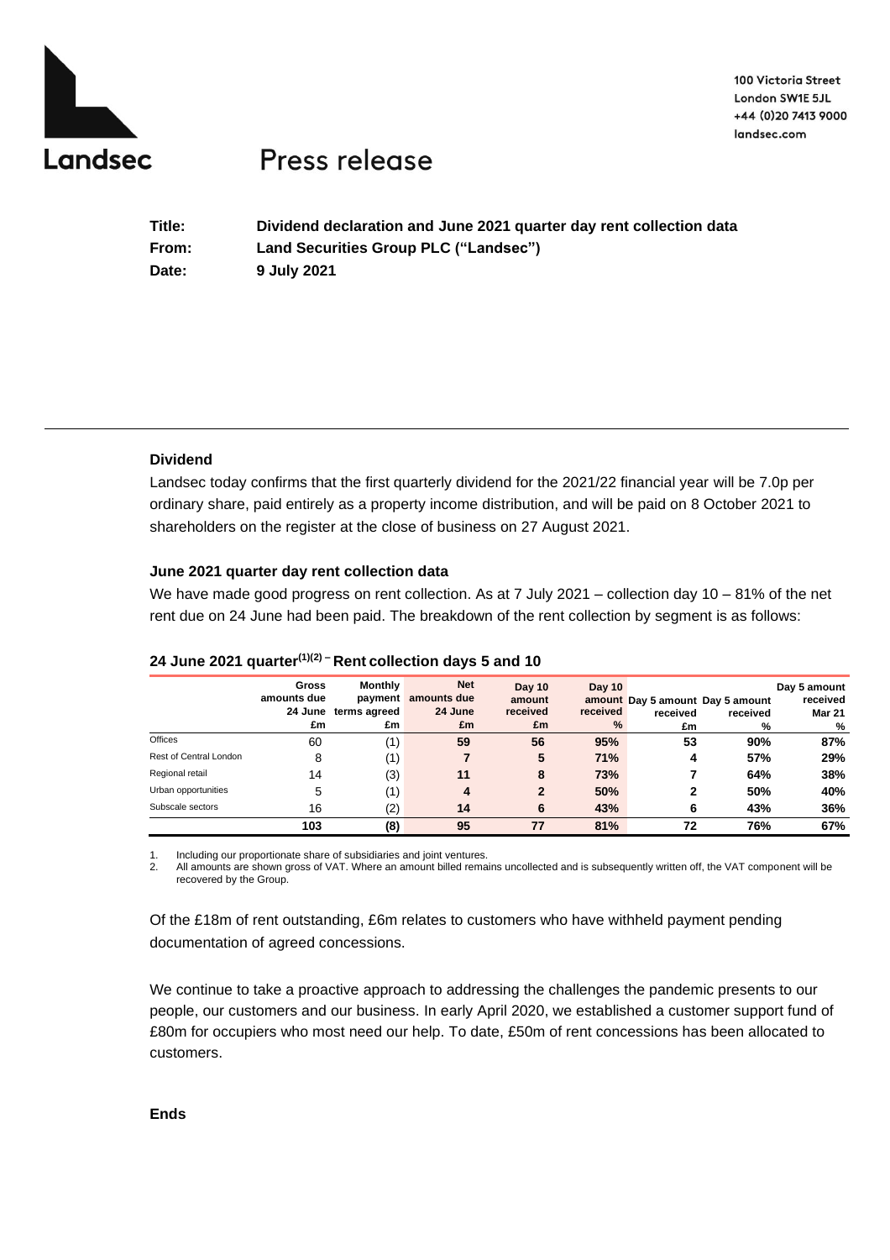

100 Victoria Street London SW1E 5JL +44 (0)20 7413 9000 landsec.com

# Press release

| Title: | Dividend declaration and June 2021 quarter day rent collection data |
|--------|---------------------------------------------------------------------|
| From:  | Land Securities Group PLC ("Landsec")                               |
| Date:  | 9 July 2021                                                         |

## **Dividend**

Landsec today confirms that the first quarterly dividend for the 2021/22 financial year will be 7.0p per ordinary share, paid entirely as a property income distribution, and will be paid on 8 October 2021 to shareholders on the register at the close of business on 27 August 2021.

## **June 2021 quarter day rent collection data**

We have made good progress on rent collection. As at 7 July 2021 – collection day 10 – 81% of the net rent due on 24 June had been paid. The breakdown of the rent collection by segment is as follows:

|                        | <b>Gross</b><br>amounts due<br>£m | <b>Monthly</b><br>payment<br>24 June terms agreed<br>£m | <b>Net</b><br>amounts due<br>24 June<br>£m | Day 10<br>amount<br>received<br>£m | Day 10<br>received<br>% | received<br>£m | amount Day 5 amount Day 5 amount<br>received<br>% | Day 5 amount<br>received<br><b>Mar 21</b><br>% |
|------------------------|-----------------------------------|---------------------------------------------------------|--------------------------------------------|------------------------------------|-------------------------|----------------|---------------------------------------------------|------------------------------------------------|
| <b>Offices</b>         | 60                                | (1)                                                     | 59                                         | 56                                 | 95%                     | 53             | 90%                                               | 87%                                            |
| Rest of Central London | 8                                 | (1)                                                     |                                            | 5                                  | 71%                     | 4              | 57%                                               | 29%                                            |
| Regional retail        | 14                                | (3)                                                     | 11                                         | 8                                  | 73%                     |                | 64%                                               | 38%                                            |
| Urban opportunities    | 5                                 | (1)                                                     | 4                                          | $\mathbf{2}$                       | 50%                     | 2              | 50%                                               | 40%                                            |
| Subscale sectors       | 16                                | (2)                                                     | 14                                         | 6                                  | 43%                     | 6              | 43%                                               | 36%                                            |
|                        | 103                               | (8)                                                     | 95                                         | 77                                 | 81%                     | 72             | 76%                                               | 67%                                            |

## **24 June 2021 quarter(1)(2) – Rent collection days 5 and 10**

1. Including our proportionate share of subsidiaries and joint ventures.

2. All amounts are shown gross of VAT. Where an amount billed remains uncollected and is subsequently written off, the VAT component will be recovered by the Group.

Of the £18m of rent outstanding, £6m relates to customers who have withheld payment pending documentation of agreed concessions.

We continue to take a proactive approach to addressing the challenges the pandemic presents to our people, our customers and our business. In early April 2020, we established a customer support fund of £80m for occupiers who most need our help. To date, £50m of rent concessions has been allocated to customers.

**Ends**